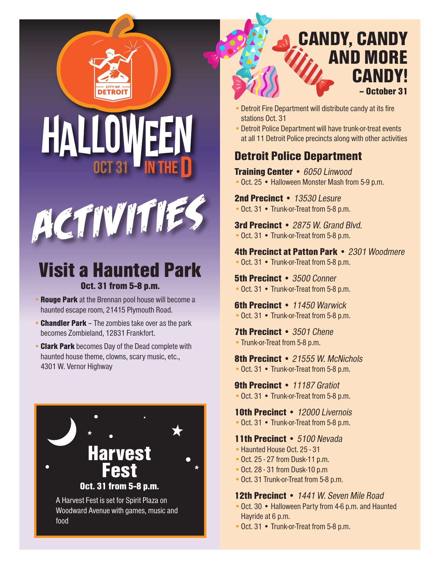





## Visit a Haunted Park Oct. 31 from 5-8 p.m.

- Rouge Park at the Brennan pool house will become a haunted escape room, 21415 Plymouth Road.
- **Chandler Park** The zombies take over as the park becomes Zombieland, 12831 Frankfort.
- Clark Park becomes Day of the Dead complete with haunted house theme, clowns, scary music, etc., 4301 W. Vernor Highway



Woodward Avenue with games, music and food

# CANDY, CANDY AND MORE **CANDY!** – October 31

- •Detroit Fire Department will distribute candy at its fire stations Oct. 31
- •Detroit Police Department will have trunk-or-treat events at all 11 Detroit Police precincts along with other activities

## Detroit Police Department

Training Center • 6050 Linwood • Oct. 25 • Halloween Monster Mash from 5-9 p.m.

2nd Precinct • 13530 Lesure • Oct. 31 • Trunk-or-Treat from 5-8 p.m.

3rd Precinct • 2875 W. Grand Blvd. • Oct. 31 • Trunk-or-Treat from 5-8 p.m.

4th Precinct at Patton Park • 2301 Woodmere • Oct. 31 • Trunk-or-Treat from 5-8 p.m.

**5th Precinct • 3500 Conner** • Oct. 31 • Trunk-or-Treat from 5-8 p.m.

**6th Precinct • 11450 Warwick** • Oct. 31 • Trunk-or-Treat from 5-8 p.m.

7th Precinct • 3501 Chene • Trunk-or-Treat from 5-8 p.m.

8th Precinct • 21555 W. McNichols • Oct. 31 • Trunk-or-Treat from 5-8 p.m.

9th Precinct • 11187 Gratiot • Oct. 31 • Trunk-or-Treat from 5-8 p.m.

10th Precinct • 12000 Livernois

• Oct. 31 • Trunk-or-Treat from 5-8 p.m.

11th Precinct • 5100 Nevada

- Haunted House Oct. 25 31
- •Oct. 25 27 from Dusk-11 p.m.
- •Oct. 28 31 from Dusk-10 p.m
- •Oct. 31 Trunk-or-Treat from 5-8 p.m.

#### 12th Precinct • 1441 W. Seven Mile Road

- •Oct. 30 Halloween Party from 4-6 p.m. and Haunted Hayride at 6 p.m.
- Oct. 31 Trunk-or-Treat from 5-8 p.m.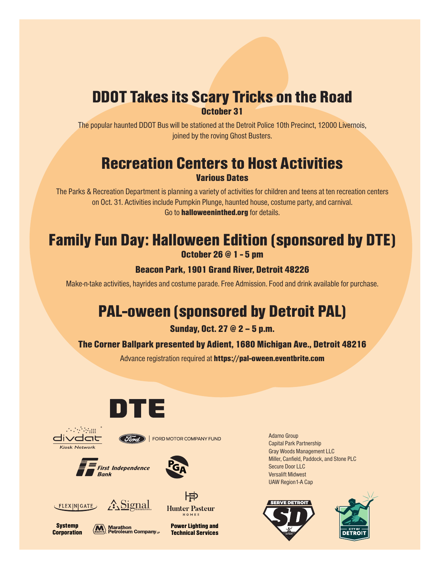# DDOT Takes its Scary Tricks on the Road

October 31

The popular haunted DDOT Bus will be stationed at the Detroit Police 10th Precinct, 12000 Livernois, joined by the roving Ghost Busters.

### Recreation Centers to Host Activities Various Dates

The Parks & Recreation Department is planning a variety of activities for children and teens at ten recreation centers on Oct. 31. Activities include Pumpkin Plunge, haunted house, costume party, and carnival. Go to **halloweeninthed.org** for details.

## Family Fun Day: Halloween Edition (sponsored by DTE) October 26 @ 1 - 5 pm

#### Beacon Park, 1901 Grand River, Detroit 48226

Make-n-take activities, hayrides and costume parade. Free Admission. Food and drink available for purchase.

# PAL-oween (sponsored by Detroit PAL)

Sunday, Oct. 27 @ 2 – 5 p.m.

#### The Corner Ballpark presented by Adient, 1680 Michigan Ave., Detroit 48216

Advance registration required at https://pal-oween.eventbrite.com





**Systemp Corporation** 









 $\langle \overline{\textbf{M}} \rangle$  Marathon<br> **MARATHON** Petroleum Company<sub>LP</sub>

Power Lighting and Technical Services Adamo Group Capital Park Partnership Gray Woods Management LLC Miller, Canfield, Paddock, and Stone PLC Secure Door LLC Versalift Midwest UAW Region1-A Cap